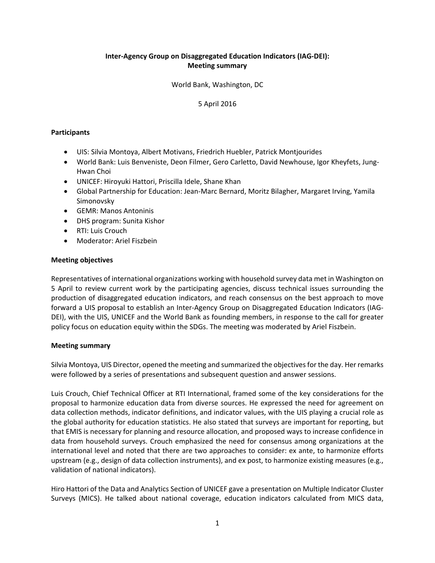# **Inter‐Agency Group on Disaggregated Education Indicators (IAG‐DEI): Meeting summary**

World Bank, Washington, DC

# 5 April 2016

### **Participants**

- UIS: Silvia Montoya, Albert Motivans, Friedrich Huebler, Patrick Montjourides
- World Bank: Luis Benveniste, Deon Filmer, Gero Carletto, David Newhouse, Igor Kheyfets, Jung-Hwan Choi
- UNICEF: Hiroyuki Hattori, Priscilla Idele, Shane Khan
- Global Partnership for Education: Jean-Marc Bernard, Moritz Bilagher, Margaret Irving, Yamila Simonovsky
- GEMR: Manos Antoninis
- DHS program: Sunita Kishor
- RTI: Luis Crouch
- Moderator: Ariel Fiszbein

#### **Meeting objectives**

Representatives of international organizations working with household survey data met in Washington on 5 April to review current work by the participating agencies, discuss technical issues surrounding the production of disaggregated education indicators, and reach consensus on the best approach to move forward a UIS proposal to establish an Inter‐Agency Group on Disaggregated Education Indicators (IAG‐ DEI), with the UIS, UNICEF and the World Bank as founding members, in response to the call for greater policy focus on education equity within the SDGs. The meeting was moderated by Ariel Fiszbein.

## **Meeting summary**

Silvia Montoya, UIS Director, opened the meeting and summarized the objectives for the day. Her remarks were followed by a series of presentations and subsequent question and answer sessions.

Luis Crouch, Chief Technical Officer at RTI International, framed some of the key considerations for the proposal to harmonize education data from diverse sources. He expressed the need for agreement on data collection methods, indicator definitions, and indicator values, with the UIS playing a crucial role as the global authority for education statistics. He also stated that surveys are important for reporting, but that EMIS is necessary for planning and resource allocation, and proposed ways to increase confidence in data from household surveys. Crouch emphasized the need for consensus among organizations at the international level and noted that there are two approaches to consider: ex ante, to harmonize efforts upstream (e.g., design of data collection instruments), and ex post, to harmonize existing measures (e.g., validation of national indicators).

Hiro Hattori of the Data and Analytics Section of UNICEF gave a presentation on Multiple Indicator Cluster Surveys (MICS). He talked about national coverage, education indicators calculated from MICS data,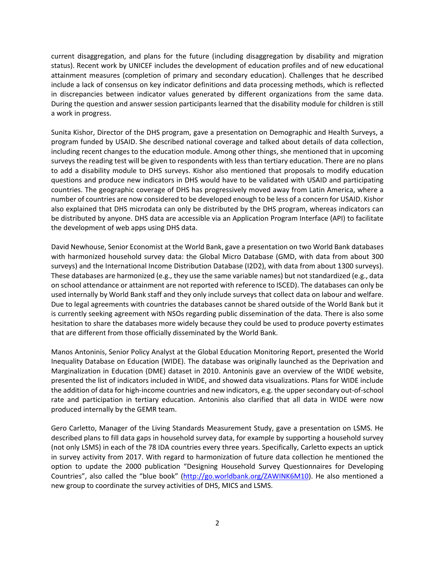current disaggregation, and plans for the future (including disaggregation by disability and migration status). Recent work by UNICEF includes the development of education profiles and of new educational attainment measures (completion of primary and secondary education). Challenges that he described include a lack of consensus on key indicator definitions and data processing methods, which is reflected in discrepancies between indicator values generated by different organizations from the same data. During the question and answer session participants learned that the disability module for children is still a work in progress.

Sunita Kishor, Director of the DHS program, gave a presentation on Demographic and Health Surveys, a program funded by USAID. She described national coverage and talked about details of data collection, including recent changes to the education module. Among other things, she mentioned that in upcoming surveys the reading test will be given to respondents with less than tertiary education. There are no plans to add a disability module to DHS surveys. Kishor also mentioned that proposals to modify education questions and produce new indicators in DHS would have to be validated with USAID and participating countries. The geographic coverage of DHS has progressively moved away from Latin America, where a number of countries are now considered to be developed enough to be less of a concern for USAID. Kishor also explained that DHS microdata can only be distributed by the DHS program, whereas indicators can be distributed by anyone. DHS data are accessible via an Application Program Interface (API) to facilitate the development of web apps using DHS data.

David Newhouse, Senior Economist at the World Bank, gave a presentation on two World Bank databases with harmonized household survey data: the Global Micro Database (GMD, with data from about 300 surveys) and the International Income Distribution Database (I2D2), with data from about 1300 surveys). These databases are harmonized (e.g., they use the same variable names) but not standardized (e.g., data on school attendance or attainment are not reported with reference to ISCED). The databases can only be used internally by World Bank staff and they only include surveys that collect data on labour and welfare. Due to legal agreements with countries the databases cannot be shared outside of the World Bank but it is currently seeking agreement with NSOs regarding public dissemination of the data. There is also some hesitation to share the databases more widely because they could be used to produce poverty estimates that are different from those officially disseminated by the World Bank.

Manos Antoninis, Senior Policy Analyst at the Global Education Monitoring Report, presented the World Inequality Database on Education (WIDE). The database was originally launched as the Deprivation and Marginalization in Education (DME) dataset in 2010. Antoninis gave an overview of the WIDE website, presented the list of indicators included in WIDE, and showed data visualizations. Plans for WIDE include the addition of data for high-income countries and new indicators, e.g. the upper secondary out-of-school rate and participation in tertiary education. Antoninis also clarified that all data in WIDE were now produced internally by the GEMR team.

Gero Carletto, Manager of the Living Standards Measurement Study, gave a presentation on LSMS. He described plans to fill data gaps in household survey data, for example by supporting a household survey (not only LSMS) in each of the 78 IDA countries every three years. Specifically, Carletto expects an uptick in survey activity from 2017. With regard to harmonization of future data collection he mentioned the option to update the 2000 publication "Designing Household Survey Questionnaires for Developing Countries", also called the "blue book" (http://go.worldbank.org/ZAWINK6M10). He also mentioned a new group to coordinate the survey activities of DHS, MICS and LSMS.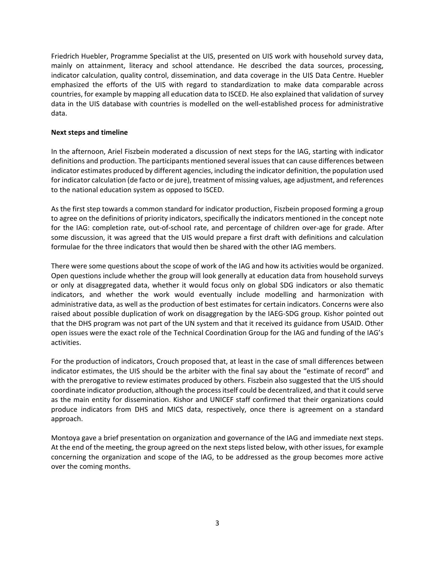Friedrich Huebler, Programme Specialist at the UIS, presented on UIS work with household survey data, mainly on attainment, literacy and school attendance. He described the data sources, processing, indicator calculation, quality control, dissemination, and data coverage in the UIS Data Centre. Huebler emphasized the efforts of the UIS with regard to standardization to make data comparable across countries, for example by mapping all education data to ISCED. He also explained that validation of survey data in the UIS database with countries is modelled on the well‐established process for administrative data.

### **Next steps and timeline**

In the afternoon, Ariel Fiszbein moderated a discussion of next steps for the IAG, starting with indicator definitions and production. The participants mentioned several issues that can cause differences between indicator estimates produced by different agencies, including the indicator definition, the population used for indicator calculation (de facto or de jure), treatment of missing values, age adjustment, and references to the national education system as opposed to ISCED.

As the first step towards a common standard for indicator production, Fiszbein proposed forming a group to agree on the definitions of priority indicators, specifically the indicators mentioned in the concept note for the IAG: completion rate, out-of-school rate, and percentage of children over-age for grade. After some discussion, it was agreed that the UIS would prepare a first draft with definitions and calculation formulae for the three indicators that would then be shared with the other IAG members.

There were some questions about the scope of work of the IAG and how its activities would be organized. Open questions include whether the group will look generally at education data from household surveys or only at disaggregated data, whether it would focus only on global SDG indicators or also thematic indicators, and whether the work would eventually include modelling and harmonization with administrative data, as well as the production of best estimates for certain indicators. Concerns were also raised about possible duplication of work on disaggregation by the IAEG‐SDG group. Kishor pointed out that the DHS program was not part of the UN system and that it received its guidance from USAID. Other open issues were the exact role of the Technical Coordination Group for the IAG and funding of the IAG's activities.

For the production of indicators, Crouch proposed that, at least in the case of small differences between indicator estimates, the UIS should be the arbiter with the final say about the "estimate of record" and with the prerogative to review estimates produced by others. Fiszbein also suggested that the UIS should coordinate indicator production, although the process itself could be decentralized, and that it could serve as the main entity for dissemination. Kishor and UNICEF staff confirmed that their organizations could produce indicators from DHS and MICS data, respectively, once there is agreement on a standard approach.

Montoya gave a brief presentation on organization and governance of the IAG and immediate next steps. At the end of the meeting, the group agreed on the next steps listed below, with other issues, for example concerning the organization and scope of the IAG, to be addressed as the group becomes more active over the coming months.